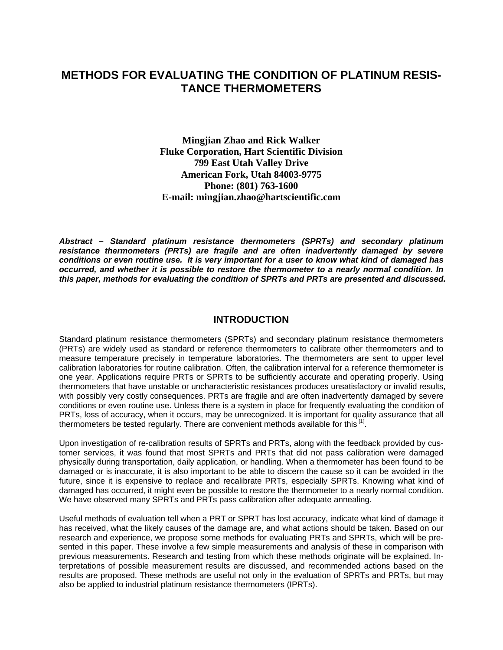# **METHODS FOR EVALUATING THE CONDITION OF PLATINUM RESIS-TANCE THERMOMETERS**

**Mingjian Zhao and Rick Walker Fluke Corporation, Hart Scientific Division 799 East Utah Valley Drive American Fork, Utah 84003-9775 Phone: (801) 763-1600 E-mail: mingjian.zhao@hartscientific.com** 

*Abstract – Standard platinum resistance thermometers (SPRTs) and secondary platinum resistance thermometers (PRTs) are fragile and are often inadvertently damaged by severe conditions or even routine use. It is very important for a user to know what kind of damaged has occurred, and whether it is possible to restore the thermometer to a nearly normal condition. In this paper, methods for evaluating the condition of SPRTs and PRTs are presented and discussed.* 

#### **INTRODUCTION**

Standard platinum resistance thermometers (SPRTs) and secondary platinum resistance thermometers (PRTs) are widely used as standard or reference thermometers to calibrate other thermometers and to measure temperature precisely in temperature laboratories. The thermometers are sent to upper level calibration laboratories for routine calibration. Often, the calibration interval for a reference thermometer is one year. Applications require PRTs or SPRTs to be sufficiently accurate and operating properly. Using thermometers that have unstable or uncharacteristic resistances produces unsatisfactory or invalid results, with possibly very costly consequences. PRTs are fragile and are often inadvertently damaged by severe conditions or even routine use. Unless there is a system in place for frequently evaluating the condition of PRTs, loss of accuracy, when it occurs, may be unrecognized. It is important for quality assurance that all thermometers be tested regularly. There are convenient methods available for this  $\left[1\right]$ .

Upon investigation of re-calibration results of SPRTs and PRTs, along with the feedback provided by customer services, it was found that most SPRTs and PRTs that did not pass calibration were damaged physically during transportation, daily application, or handling. When a thermometer has been found to be damaged or is inaccurate, it is also important to be able to discern the cause so it can be avoided in the future, since it is expensive to replace and recalibrate PRTs, especially SPRTs. Knowing what kind of damaged has occurred, it might even be possible to restore the thermometer to a nearly normal condition. We have observed many SPRTs and PRTs pass calibration after adequate annealing.

Useful methods of evaluation tell when a PRT or SPRT has lost accuracy, indicate what kind of damage it has received, what the likely causes of the damage are, and what actions should be taken. Based on our research and experience, we propose some methods for evaluating PRTs and SPRTs, which will be presented in this paper. These involve a few simple measurements and analysis of these in comparison with previous measurements. Research and testing from which these methods originate will be explained. Interpretations of possible measurement results are discussed, and recommended actions based on the results are proposed. These methods are useful not only in the evaluation of SPRTs and PRTs, but may also be applied to industrial platinum resistance thermometers (IPRTs).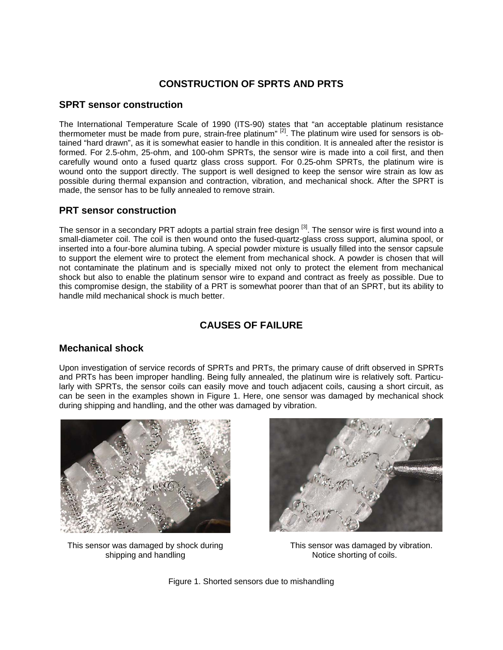### **CONSTRUCTION OF SPRTS AND PRTS**

#### **SPRT sensor construction**

The International Temperature Scale of 1990 (ITS-90) states that "an acceptable platinum resistance thermometer must be made from pure, strain-free platinum"  $^{[2]}$ . The platinum wire used for sensors is obtained "hard drawn", as it is somewhat easier to handle in this condition. It is annealed after the resistor is formed. For 2.5-ohm, 25-ohm, and 100-ohm SPRTs, the sensor wire is made into a coil first, and then carefully wound onto a fused quartz glass cross support. For 0.25-ohm SPRTs, the platinum wire is wound onto the support directly. The support is well designed to keep the sensor wire strain as low as possible during thermal expansion and contraction, vibration, and mechanical shock. After the SPRT is made, the sensor has to be fully annealed to remove strain.

#### **PRT sensor construction**

The sensor in a secondary PRT adopts a partial strain free design <sup>[3]</sup>. The sensor wire is first wound into a small-diameter coil. The coil is then wound onto the fused-quartz-glass cross support, alumina spool, or inserted into a four-bore alumina tubing. A special powder mixture is usually filled into the sensor capsule to support the element wire to protect the element from mechanical shock. A powder is chosen that will not contaminate the platinum and is specially mixed not only to protect the element from mechanical shock but also to enable the platinum sensor wire to expand and contract as freely as possible. Due to this compromise design, the stability of a PRT is somewhat poorer than that of an SPRT, but its ability to handle mild mechanical shock is much better.

# **CAUSES OF FAILURE**

### **Mechanical shock**

Upon investigation of service records of SPRTs and PRTs, the primary cause of drift observed in SPRTs and PRTs has been improper handling. Being fully annealed, the platinum wire is relatively soft. Particularly with SPRTs, the sensor coils can easily move and touch adjacent coils, causing a short circuit, as can be seen in the examples shown in Figure 1. Here, one sensor was damaged by mechanical shock during shipping and handling, and the other was damaged by vibration.



This sensor was damaged by shock during shipping and handling



 This sensor was damaged by vibration. Notice shorting of coils.

Figure 1. Shorted sensors due to mishandling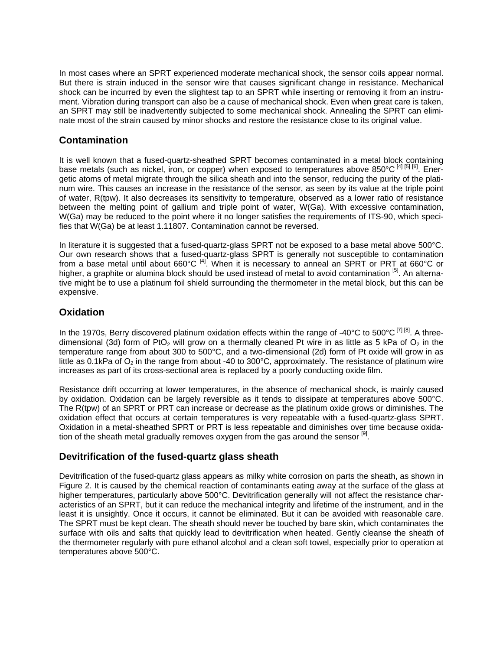In most cases where an SPRT experienced moderate mechanical shock, the sensor coils appear normal. But there is strain induced in the sensor wire that causes significant change in resistance. Mechanical shock can be incurred by even the slightest tap to an SPRT while inserting or removing it from an instrument. Vibration during transport can also be a cause of mechanical shock. Even when great care is taken, an SPRT may still be inadvertently subjected to some mechanical shock. Annealing the SPRT can eliminate most of the strain caused by minor shocks and restore the resistance close to its original value.

#### **Contamination**

It is well known that a fused-quartz-sheathed SPRT becomes contaminated in a metal block containing base metals (such as nickel, iron, or copper) when exposed to temperatures above 850°C<sup>[4] [5] [6]</sup>. Energetic atoms of metal migrate through the silica sheath and into the sensor, reducing the purity of the platinum wire. This causes an increase in the resistance of the sensor, as seen by its value at the triple point of water, R(tpw). It also decreases its sensitivity to temperature, observed as a lower ratio of resistance between the melting point of gallium and triple point of water, W(Ga). With excessive contamination, W(Ga) may be reduced to the point where it no longer satisfies the requirements of ITS-90, which specifies that W(Ga) be at least 1.11807. Contamination cannot be reversed.

In literature it is suggested that a fused-quartz-glass SPRT not be exposed to a base metal above 500°C. Our own research shows that a fused-quartz-glass SPRT is generally not susceptible to contamination from a base metal until about 660°C  $^{[4]}$ . When it is necessary to anneal an SPRT or PRT at 660°C or higher, a graphite or alumina block should be used instead of metal to avoid contamination [5]. An alternative might be to use a platinum foil shield surrounding the thermometer in the metal block, but this can be expensive.

#### **Oxidation**

In the 1970s, Berry discovered platinum oxidation effects within the range of -40°C to 500°C  $^{[7]}$  [8]. A threedimensional (3d) form of PtO<sub>2</sub> will grow on a thermally cleaned Pt wire in as little as 5 kPa of  $O_2$  in the temperature range from about 300 to 500°C, and a two-dimensional (2d) form of Pt oxide will grow in as little as 0.1kPa of  $O_2$  in the range from about -40 to 300°C, approximately. The resistance of platinum wire increases as part of its cross-sectional area is replaced by a poorly conducting oxide film.

Resistance drift occurring at lower temperatures, in the absence of mechanical shock, is mainly caused by oxidation. Oxidation can be largely reversible as it tends to dissipate at temperatures above 500°C. The R(tpw) of an SPRT or PRT can increase or decrease as the platinum oxide grows or diminishes. The oxidation effect that occurs at certain temperatures is very repeatable with a fused-quartz-glass SPRT. Oxidation in a metal-sheathed SPRT or PRT is less repeatable and diminishes over time because oxidation of the sheath metal gradually removes oxygen from the gas around the sensor  $\mathsf{I}^{[9]}$ .

### **Devitrification of the fused-quartz glass sheath**

Devitrification of the fused-quartz glass appears as milky white corrosion on parts the sheath, as shown in Figure 2. It is caused by the chemical reaction of contaminants eating away at the surface of the glass at higher temperatures, particularly above 500°C. Devitrification generally will not affect the resistance characteristics of an SPRT, but it can reduce the mechanical integrity and lifetime of the instrument, and in the least it is unsightly. Once it occurs, it cannot be eliminated. But it can be avoided with reasonable care. The SPRT must be kept clean. The sheath should never be touched by bare skin, which contaminates the surface with oils and salts that quickly lead to devitrification when heated. Gently cleanse the sheath of the thermometer regularly with pure ethanol alcohol and a clean soft towel, especially prior to operation at temperatures above 500°C.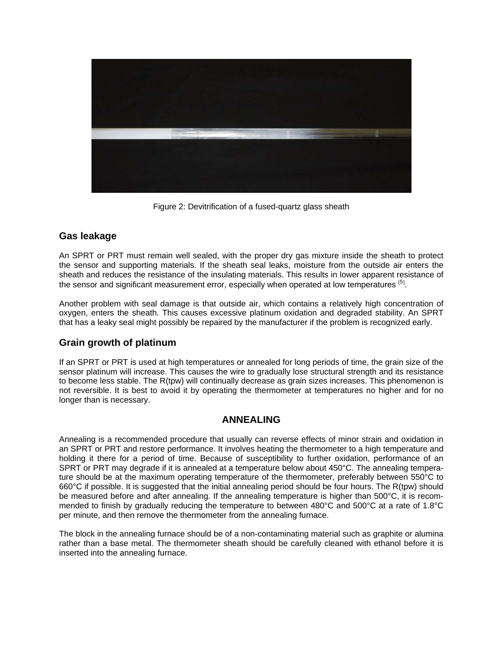

Figure 2: Devitrification of a fused-quartz glass sheath

#### **Gas leakage**

An SPRT or PRT must remain well sealed, with the proper dry gas mixture inside the sheath to protect the sensor and supporting materials. If the sheath seal leaks, moisture from the outside air enters the sheath and reduces the resistance of the insulating materials. This results in lower apparent resistance of the sensor and significant measurement error, especially when operated at low temperatures [5].

Another problem with seal damage is that outside air, which contains a relatively high concentration of oxygen, enters the sheath. This causes excessive platinum oxidation and degraded stability. An SPRT that has a leaky seal might possibly be repaired by the manufacturer if the problem is recognized early.

#### **Grain growth of platinum**

If an SPRT or PRT is used at high temperatures or annealed for long periods of time, the grain size of the sensor platinum will increase. This causes the wire to gradually lose structural strength and its resistance to become less stable. The R(tpw) will continually decrease as grain sizes increases. This phenomenon is not reversible. It is best to avoid it by operating the thermometer at temperatures no higher and for no longer than is necessary.

#### **ANNEALING**

Annealing is a recommended procedure that usually can reverse effects of minor strain and oxidation in an SPRT or PRT and restore performance. It involves heating the thermometer to a high temperature and holding it there for a period of time. Because of susceptibility to further oxidation, performance of an SPRT or PRT may degrade if it is annealed at a temperature below about 450°C. The annealing temperature should be at the maximum operating temperature of the thermometer, preferably between 550°C to 660°C if possible. It is suggested that the initial annealing period should be four hours. The R(tpw) should be measured before and after annealing. If the annealing temperature is higher than 500°C, it is recommended to finish by gradually reducing the temperature to between 480°C and 500°C at a rate of 1.8°C per minute, and then remove the thermometer from the annealing furnace.

The block in the annealing furnace should be of a non-contaminating material such as graphite or alumina rather than a base metal. The thermometer sheath should be carefully cleaned with ethanol before it is inserted into the annealing furnace.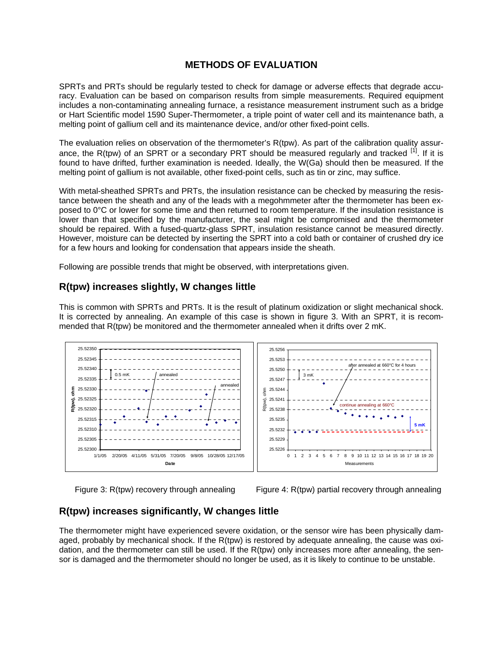### **METHODS OF EVALUATION**

SPRTs and PRTs should be regularly tested to check for damage or adverse effects that degrade accuracy. Evaluation can be based on comparison results from simple measurements. Required equipment includes a non-contaminating annealing furnace, a resistance measurement instrument such as a bridge or Hart Scientific model 1590 Super-Thermometer, a triple point of water cell and its maintenance bath, a melting point of gallium cell and its maintenance device, and/or other fixed-point cells.

The evaluation relies on observation of the thermometer's R(tpw). As part of the calibration quality assurance, the R(tpw) of an SPRT or a secondary PRT should be measured regularly and tracked  $\frac{1}{1}$ . If it is found to have drifted, further examination is needed. Ideally, the W(Ga) should then be measured. If the melting point of gallium is not available, other fixed-point cells, such as tin or zinc, may suffice.

With metal-sheathed SPRTs and PRTs, the insulation resistance can be checked by measuring the resistance between the sheath and any of the leads with a megohmmeter after the thermometer has been exposed to 0°C or lower for some time and then returned to room temperature. If the insulation resistance is lower than that specified by the manufacturer, the seal might be compromised and the thermometer should be repaired. With a fused-quartz-glass SPRT, insulation resistance cannot be measured directly. However, moisture can be detected by inserting the SPRT into a cold bath or container of crushed dry ice for a few hours and looking for condensation that appears inside the sheath.

Following are possible trends that might be observed, with interpretations given.

#### **R(tpw) increases slightly, W changes little**

This is common with SPRTs and PRTs. It is the result of platinum oxidization or slight mechanical shock. It is corrected by annealing. An example of this case is shown in figure 3. With an SPRT, it is recommended that R(tpw) be monitored and the thermometer annealed when it drifts over 2 mK.



Figure 3: R(tpw) recovery through annealing Figure 4: R(tpw) partial recovery through annealing

### **R(tpw) increases significantly, W changes little**

The thermometer might have experienced severe oxidation, or the sensor wire has been physically damaged, probably by mechanical shock. If the R(tpw) is restored by adequate annealing, the cause was oxidation, and the thermometer can still be used. If the R(tpw) only increases more after annealing, the sensor is damaged and the thermometer should no longer be used, as it is likely to continue to be unstable.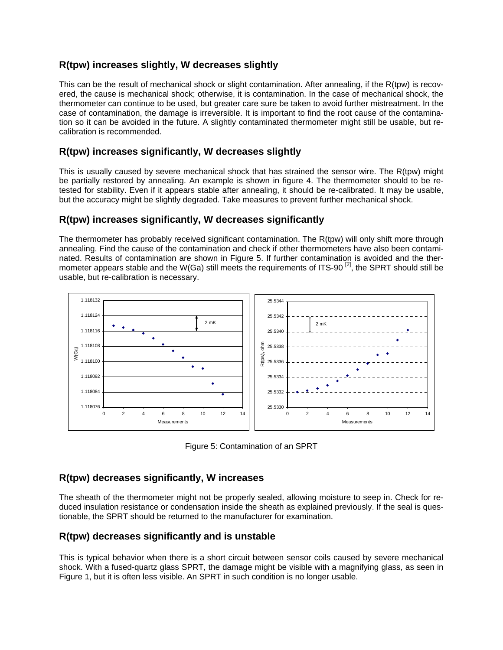## **R(tpw) increases slightly, W decreases slightly**

This can be the result of mechanical shock or slight contamination. After annealing, if the R(tpw) is recovered, the cause is mechanical shock; otherwise, it is contamination. In the case of mechanical shock, the thermometer can continue to be used, but greater care sure be taken to avoid further mistreatment. In the case of contamination, the damage is irreversible. It is important to find the root cause of the contamination so it can be avoided in the future. A slightly contaminated thermometer might still be usable, but recalibration is recommended.

## **R(tpw) increases significantly, W decreases slightly**

This is usually caused by severe mechanical shock that has strained the sensor wire. The R(tpw) might be partially restored by annealing. An example is shown in figure 4. The thermometer should to be retested for stability. Even if it appears stable after annealing, it should be re-calibrated. It may be usable, but the accuracy might be slightly degraded. Take measures to prevent further mechanical shock.

### **R(tpw) increases significantly, W decreases significantly**

The thermometer has probably received significant contamination. The R(tpw) will only shift more through annealing. Find the cause of the contamination and check if other thermometers have also been contaminated. Results of contamination are shown in Figure 5. If further contamination is avoided and the thermometer appears stable and the W(Ga) still meets the requirements of ITS-90  $^{[2]}$ , the SPRT should still be usable, but re-calibration is necessary.



Figure 5: Contamination of an SPRT

### **R(tpw) decreases significantly, W increases**

The sheath of the thermometer might not be properly sealed, allowing moisture to seep in. Check for reduced insulation resistance or condensation inside the sheath as explained previously. If the seal is questionable, the SPRT should be returned to the manufacturer for examination.

### **R(tpw) decreases significantly and is unstable**

This is typical behavior when there is a short circuit between sensor coils caused by severe mechanical shock. With a fused-quartz glass SPRT, the damage might be visible with a magnifying glass, as seen in Figure 1, but it is often less visible. An SPRT in such condition is no longer usable.